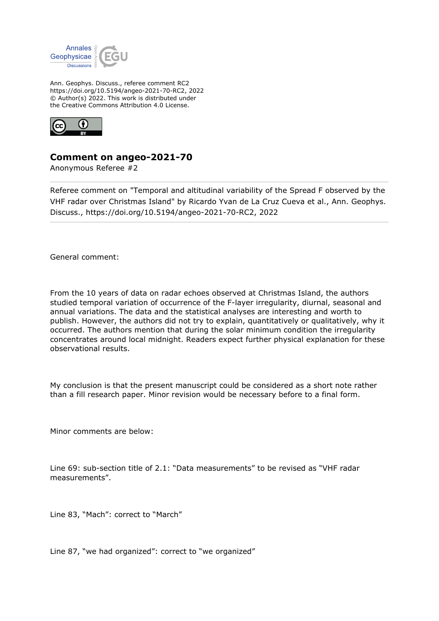

Ann. Geophys. Discuss., referee comment RC2 https://doi.org/10.5194/angeo-2021-70-RC2, 2022 © Author(s) 2022. This work is distributed under the Creative Commons Attribution 4.0 License.



## **Comment on angeo-2021-70**

Anonymous Referee #2

Referee comment on "Temporal and altitudinal variability of the Spread F observed by the VHF radar over Christmas Island" by Ricardo Yvan de La Cruz Cueva et al., Ann. Geophys. Discuss., https://doi.org/10.5194/angeo-2021-70-RC2, 2022

General comment:

From the 10 years of data on radar echoes observed at Christmas Island, the authors studied temporal variation of occurrence of the F-layer irregularity, diurnal, seasonal and annual variations. The data and the statistical analyses are interesting and worth to publish. However, the authors did not try to explain, quantitatively or qualitatively, why it occurred. The authors mention that during the solar minimum condition the irregularity concentrates around local midnight. Readers expect further physical explanation for these observational results.

My conclusion is that the present manuscript could be considered as a short note rather than a fill research paper. Minor revision would be necessary before to a final form.

Minor comments are below:

Line 69: sub-section title of 2.1: "Data measurements" to be revised as "VHF radar measurements".

Line 83, "Mach": correct to "March"

Line 87, "we had organized": correct to "we organized"